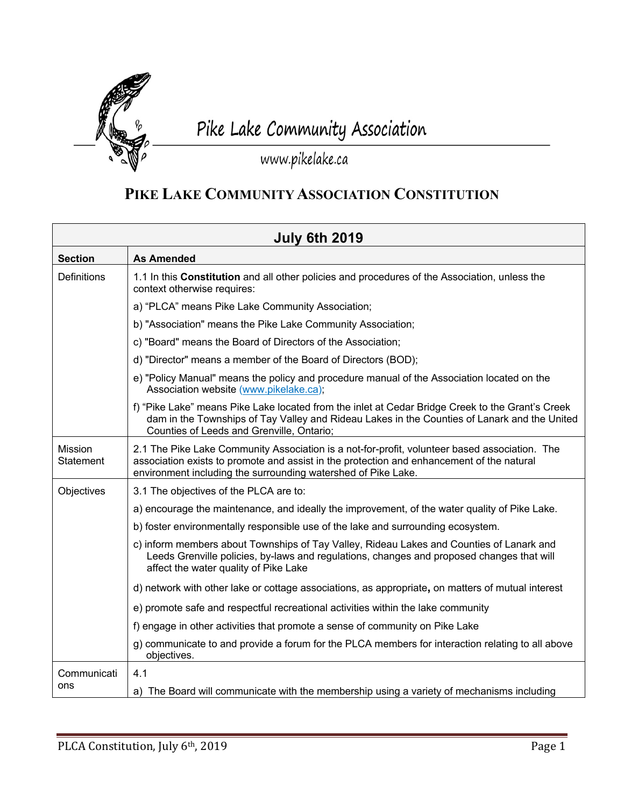

## Pike Lake Community Association

## www.pikelake.ca

## **PIKE LAKE COMMUNITY ASSOCIATION CONSTITUTION**

|                             | <b>July 6th 2019</b>                                                                                                                                                                                                                                        |
|-----------------------------|-------------------------------------------------------------------------------------------------------------------------------------------------------------------------------------------------------------------------------------------------------------|
| <b>Section</b>              | <b>As Amended</b>                                                                                                                                                                                                                                           |
| <b>Definitions</b>          | 1.1 In this Constitution and all other policies and procedures of the Association, unless the<br>context otherwise requires:                                                                                                                                |
|                             | a) "PLCA" means Pike Lake Community Association;                                                                                                                                                                                                            |
|                             | b) "Association" means the Pike Lake Community Association;                                                                                                                                                                                                 |
|                             | c) "Board" means the Board of Directors of the Association;                                                                                                                                                                                                 |
|                             | d) "Director" means a member of the Board of Directors (BOD);                                                                                                                                                                                               |
|                             | e) "Policy Manual" means the policy and procedure manual of the Association located on the<br>Association website (www.pikelake.ca);                                                                                                                        |
|                             | f) "Pike Lake" means Pike Lake located from the inlet at Cedar Bridge Creek to the Grant's Creek<br>dam in the Townships of Tay Valley and Rideau Lakes in the Counties of Lanark and the United<br>Counties of Leeds and Grenville, Ontario;               |
| Mission<br><b>Statement</b> | 2.1 The Pike Lake Community Association is a not-for-profit, volunteer based association. The<br>association exists to promote and assist in the protection and enhancement of the natural<br>environment including the surrounding watershed of Pike Lake. |
| Objectives                  | 3.1 The objectives of the PLCA are to:                                                                                                                                                                                                                      |
|                             | a) encourage the maintenance, and ideally the improvement, of the water quality of Pike Lake.                                                                                                                                                               |
|                             | b) foster environmentally responsible use of the lake and surrounding ecosystem.                                                                                                                                                                            |
|                             | c) inform members about Townships of Tay Valley, Rideau Lakes and Counties of Lanark and<br>Leeds Grenville policies, by-laws and regulations, changes and proposed changes that will<br>affect the water quality of Pike Lake                              |
|                             | d) network with other lake or cottage associations, as appropriate, on matters of mutual interest                                                                                                                                                           |
|                             | e) promote safe and respectful recreational activities within the lake community                                                                                                                                                                            |
|                             | f) engage in other activities that promote a sense of community on Pike Lake                                                                                                                                                                                |
|                             | g) communicate to and provide a forum for the PLCA members for interaction relating to all above<br>objectives.                                                                                                                                             |
| Communicati                 | 4.1                                                                                                                                                                                                                                                         |
| ons                         | a) The Board will communicate with the membership using a variety of mechanisms including                                                                                                                                                                   |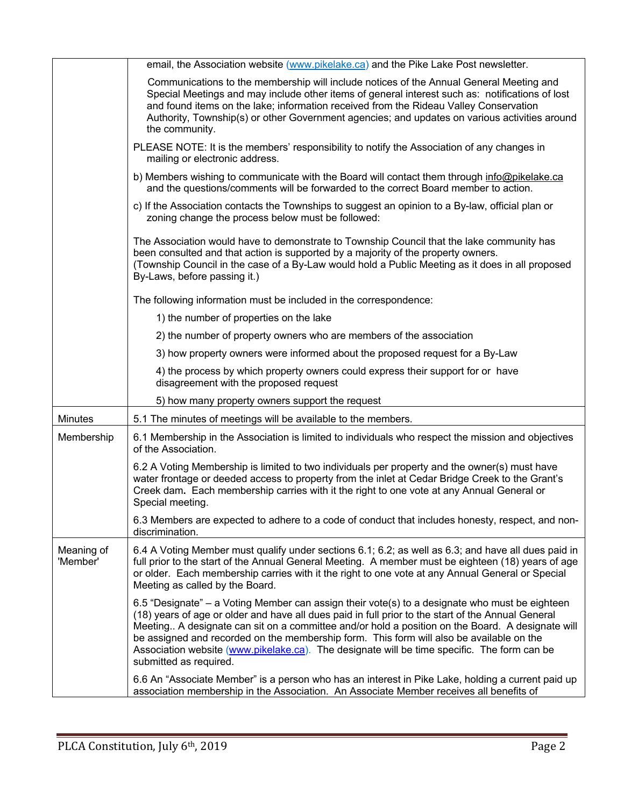|                        | email, the Association website (www.pikelake.ca) and the Pike Lake Post newsletter.                                                                                                                                                                                                                                                                                                                                                                                                                                           |
|------------------------|-------------------------------------------------------------------------------------------------------------------------------------------------------------------------------------------------------------------------------------------------------------------------------------------------------------------------------------------------------------------------------------------------------------------------------------------------------------------------------------------------------------------------------|
|                        | Communications to the membership will include notices of the Annual General Meeting and<br>Special Meetings and may include other items of general interest such as: notifications of lost<br>and found items on the lake; information received from the Rideau Valley Conservation<br>Authority, Township(s) or other Government agencies; and updates on various activities around<br>the community.                                                                                                                        |
|                        | PLEASE NOTE: It is the members' responsibility to notify the Association of any changes in<br>mailing or electronic address.                                                                                                                                                                                                                                                                                                                                                                                                  |
|                        | b) Members wishing to communicate with the Board will contact them through info@pikelake.ca<br>and the questions/comments will be forwarded to the correct Board member to action.                                                                                                                                                                                                                                                                                                                                            |
|                        | c) If the Association contacts the Townships to suggest an opinion to a By-law, official plan or<br>zoning change the process below must be followed:                                                                                                                                                                                                                                                                                                                                                                         |
|                        | The Association would have to demonstrate to Township Council that the lake community has<br>been consulted and that action is supported by a majority of the property owners.<br>(Township Council in the case of a By-Law would hold a Public Meeting as it does in all proposed<br>By-Laws, before passing it.)                                                                                                                                                                                                            |
|                        | The following information must be included in the correspondence:                                                                                                                                                                                                                                                                                                                                                                                                                                                             |
|                        | 1) the number of properties on the lake                                                                                                                                                                                                                                                                                                                                                                                                                                                                                       |
|                        | 2) the number of property owners who are members of the association                                                                                                                                                                                                                                                                                                                                                                                                                                                           |
|                        | 3) how property owners were informed about the proposed request for a By-Law                                                                                                                                                                                                                                                                                                                                                                                                                                                  |
|                        | 4) the process by which property owners could express their support for or have<br>disagreement with the proposed request                                                                                                                                                                                                                                                                                                                                                                                                     |
|                        | 5) how many property owners support the request                                                                                                                                                                                                                                                                                                                                                                                                                                                                               |
| <b>Minutes</b>         | 5.1 The minutes of meetings will be available to the members.                                                                                                                                                                                                                                                                                                                                                                                                                                                                 |
| Membership             | 6.1 Membership in the Association is limited to individuals who respect the mission and objectives<br>of the Association.                                                                                                                                                                                                                                                                                                                                                                                                     |
|                        | 6.2 A Voting Membership is limited to two individuals per property and the owner(s) must have<br>water frontage or deeded access to property from the inlet at Cedar Bridge Creek to the Grant's<br>Creek dam. Each membership carries with it the right to one vote at any Annual General or<br>Special meeting.                                                                                                                                                                                                             |
|                        | 6.3 Members are expected to adhere to a code of conduct that includes honesty, respect, and non-<br>discrimination.                                                                                                                                                                                                                                                                                                                                                                                                           |
| Meaning of<br>'Member' | 6.4 A Voting Member must qualify under sections 6.1; 6.2; as well as 6.3; and have all dues paid in<br>full prior to the start of the Annual General Meeting. A member must be eighteen (18) years of age<br>or older. Each membership carries with it the right to one vote at any Annual General or Special<br>Meeting as called by the Board.                                                                                                                                                                              |
|                        | 6.5 "Designate" – a Voting Member can assign their vote(s) to a designate who must be eighteen<br>(18) years of age or older and have all dues paid in full prior to the start of the Annual General<br>Meeting A designate can sit on a committee and/or hold a position on the Board. A designate will<br>be assigned and recorded on the membership form. This form will also be available on the<br>Association website (www.pikelake.ca). The designate will be time specific. The form can be<br>submitted as required. |
|                        | 6.6 An "Associate Member" is a person who has an interest in Pike Lake, holding a current paid up<br>association membership in the Association. An Associate Member receives all benefits of                                                                                                                                                                                                                                                                                                                                  |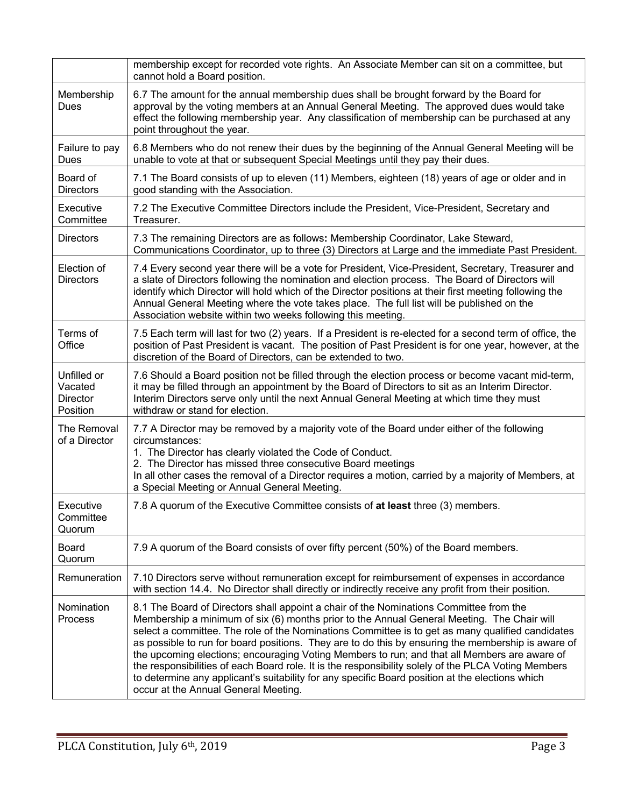|                                                       | membership except for recorded vote rights. An Associate Member can sit on a committee, but<br>cannot hold a Board position.                                                                                                                                                                                                                                                                                                                                                                                                                                                                                                                                                                                                                     |  |  |  |  |  |
|-------------------------------------------------------|--------------------------------------------------------------------------------------------------------------------------------------------------------------------------------------------------------------------------------------------------------------------------------------------------------------------------------------------------------------------------------------------------------------------------------------------------------------------------------------------------------------------------------------------------------------------------------------------------------------------------------------------------------------------------------------------------------------------------------------------------|--|--|--|--|--|
| Membership<br>Dues                                    | 6.7 The amount for the annual membership dues shall be brought forward by the Board for<br>approval by the voting members at an Annual General Meeting. The approved dues would take<br>effect the following membership year. Any classification of membership can be purchased at any<br>point throughout the year.                                                                                                                                                                                                                                                                                                                                                                                                                             |  |  |  |  |  |
| Failure to pay<br>Dues                                | 6.8 Members who do not renew their dues by the beginning of the Annual General Meeting will be<br>unable to vote at that or subsequent Special Meetings until they pay their dues.                                                                                                                                                                                                                                                                                                                                                                                                                                                                                                                                                               |  |  |  |  |  |
| Board of<br><b>Directors</b>                          | 7.1 The Board consists of up to eleven (11) Members, eighteen (18) years of age or older and in<br>good standing with the Association.                                                                                                                                                                                                                                                                                                                                                                                                                                                                                                                                                                                                           |  |  |  |  |  |
| Executive<br>Committee                                | 7.2 The Executive Committee Directors include the President, Vice-President, Secretary and<br>Treasurer.                                                                                                                                                                                                                                                                                                                                                                                                                                                                                                                                                                                                                                         |  |  |  |  |  |
| <b>Directors</b>                                      | 7.3 The remaining Directors are as follows: Membership Coordinator, Lake Steward,<br>Communications Coordinator, up to three (3) Directors at Large and the immediate Past President.                                                                                                                                                                                                                                                                                                                                                                                                                                                                                                                                                            |  |  |  |  |  |
| Election of<br><b>Directors</b>                       | 7.4 Every second year there will be a vote for President, Vice-President, Secretary, Treasurer and<br>a slate of Directors following the nomination and election process. The Board of Directors will<br>identify which Director will hold which of the Director positions at their first meeting following the<br>Annual General Meeting where the vote takes place. The full list will be published on the<br>Association website within two weeks following this meeting.                                                                                                                                                                                                                                                                     |  |  |  |  |  |
| Terms of<br>Office                                    | 7.5 Each term will last for two (2) years. If a President is re-elected for a second term of office, the<br>position of Past President is vacant. The position of Past President is for one year, however, at the<br>discretion of the Board of Directors, can be extended to two.                                                                                                                                                                                                                                                                                                                                                                                                                                                               |  |  |  |  |  |
| Unfilled or<br>Vacated<br><b>Director</b><br>Position | 7.6 Should a Board position not be filled through the election process or become vacant mid-term,<br>it may be filled through an appointment by the Board of Directors to sit as an Interim Director.<br>Interim Directors serve only until the next Annual General Meeting at which time they must<br>withdraw or stand for election.                                                                                                                                                                                                                                                                                                                                                                                                           |  |  |  |  |  |
| The Removal<br>of a Director                          | 7.7 A Director may be removed by a majority vote of the Board under either of the following<br>circumstances:<br>1. The Director has clearly violated the Code of Conduct.<br>2. The Director has missed three consecutive Board meetings<br>In all other cases the removal of a Director requires a motion, carried by a majority of Members, at<br>a Special Meeting or Annual General Meeting.                                                                                                                                                                                                                                                                                                                                                |  |  |  |  |  |
| Executive<br>Committee<br>Quorum                      | 7.8 A quorum of the Executive Committee consists of at least three (3) members.                                                                                                                                                                                                                                                                                                                                                                                                                                                                                                                                                                                                                                                                  |  |  |  |  |  |
| Board<br>Quorum                                       | 7.9 A quorum of the Board consists of over fifty percent (50%) of the Board members.                                                                                                                                                                                                                                                                                                                                                                                                                                                                                                                                                                                                                                                             |  |  |  |  |  |
| Remuneration                                          | 7.10 Directors serve without remuneration except for reimbursement of expenses in accordance<br>with section 14.4. No Director shall directly or indirectly receive any profit from their position.                                                                                                                                                                                                                                                                                                                                                                                                                                                                                                                                              |  |  |  |  |  |
| Nomination<br>Process                                 | 8.1 The Board of Directors shall appoint a chair of the Nominations Committee from the<br>Membership a minimum of six (6) months prior to the Annual General Meeting. The Chair will<br>select a committee. The role of the Nominations Committee is to get as many qualified candidates<br>as possible to run for board positions. They are to do this by ensuring the membership is aware of<br>the upcoming elections; encouraging Voting Members to run; and that all Members are aware of<br>the responsibilities of each Board role. It is the responsibility solely of the PLCA Voting Members<br>to determine any applicant's suitability for any specific Board position at the elections which<br>occur at the Annual General Meeting. |  |  |  |  |  |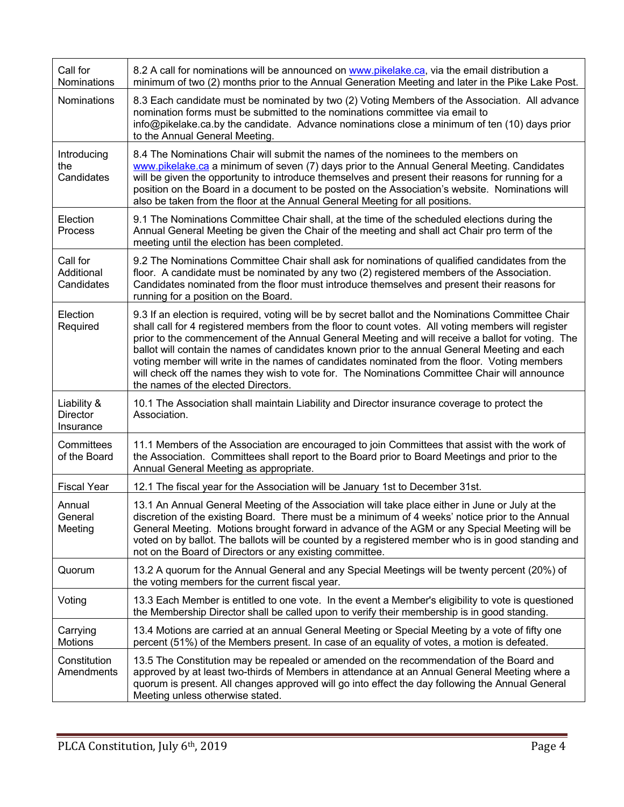| Call for<br>Nominations                     | 8.2 A call for nominations will be announced on www.pikelake.ca, via the email distribution a<br>minimum of two (2) months prior to the Annual Generation Meeting and later in the Pike Lake Post.                                                                                                                                                                                                                                                                                                                                                                                                                                                        |
|---------------------------------------------|-----------------------------------------------------------------------------------------------------------------------------------------------------------------------------------------------------------------------------------------------------------------------------------------------------------------------------------------------------------------------------------------------------------------------------------------------------------------------------------------------------------------------------------------------------------------------------------------------------------------------------------------------------------|
| Nominations                                 | 8.3 Each candidate must be nominated by two (2) Voting Members of the Association. All advance<br>nomination forms must be submitted to the nominations committee via email to<br>info@pikelake.ca.by the candidate. Advance nominations close a minimum of ten (10) days prior<br>to the Annual General Meeting.                                                                                                                                                                                                                                                                                                                                         |
| Introducing<br>the<br>Candidates            | 8.4 The Nominations Chair will submit the names of the nominees to the members on<br>www.pikelake.ca a minimum of seven (7) days prior to the Annual General Meeting. Candidates<br>will be given the opportunity to introduce themselves and present their reasons for running for a<br>position on the Board in a document to be posted on the Association's website. Nominations will<br>also be taken from the floor at the Annual General Meeting for all positions.                                                                                                                                                                                 |
| Election<br>Process                         | 9.1 The Nominations Committee Chair shall, at the time of the scheduled elections during the<br>Annual General Meeting be given the Chair of the meeting and shall act Chair pro term of the<br>meeting until the election has been completed.                                                                                                                                                                                                                                                                                                                                                                                                            |
| Call for<br>Additional<br>Candidates        | 9.2 The Nominations Committee Chair shall ask for nominations of qualified candidates from the<br>floor. A candidate must be nominated by any two (2) registered members of the Association.<br>Candidates nominated from the floor must introduce themselves and present their reasons for<br>running for a position on the Board.                                                                                                                                                                                                                                                                                                                       |
| Election<br>Required                        | 9.3 If an election is required, voting will be by secret ballot and the Nominations Committee Chair<br>shall call for 4 registered members from the floor to count votes. All voting members will register<br>prior to the commencement of the Annual General Meeting and will receive a ballot for voting. The<br>ballot will contain the names of candidates known prior to the annual General Meeting and each<br>voting member will write in the names of candidates nominated from the floor. Voting members<br>will check off the names they wish to vote for. The Nominations Committee Chair will announce<br>the names of the elected Directors. |
| Liability &<br><b>Director</b><br>Insurance | 10.1 The Association shall maintain Liability and Director insurance coverage to protect the<br>Association.                                                                                                                                                                                                                                                                                                                                                                                                                                                                                                                                              |
| Committees<br>of the Board                  | 11.1 Members of the Association are encouraged to join Committees that assist with the work of<br>the Association. Committees shall report to the Board prior to Board Meetings and prior to the<br>Annual General Meeting as appropriate.                                                                                                                                                                                                                                                                                                                                                                                                                |
| <b>Fiscal Year</b>                          | 12.1 The fiscal year for the Association will be January 1st to December 31st.                                                                                                                                                                                                                                                                                                                                                                                                                                                                                                                                                                            |
| Annual<br>General<br>Meeting                | 13.1 An Annual General Meeting of the Association will take place either in June or July at the<br>discretion of the existing Board. There must be a minimum of 4 weeks' notice prior to the Annual<br>General Meeting. Motions brought forward in advance of the AGM or any Special Meeting will be<br>voted on by ballot. The ballots will be counted by a registered member who is in good standing and<br>not on the Board of Directors or any existing committee.                                                                                                                                                                                    |
| Quorum                                      | 13.2 A quorum for the Annual General and any Special Meetings will be twenty percent (20%) of<br>the voting members for the current fiscal year.                                                                                                                                                                                                                                                                                                                                                                                                                                                                                                          |
| Voting                                      | 13.3 Each Member is entitled to one vote. In the event a Member's eligibility to vote is questioned<br>the Membership Director shall be called upon to verify their membership is in good standing.                                                                                                                                                                                                                                                                                                                                                                                                                                                       |
| Carrying<br><b>Motions</b>                  | 13.4 Motions are carried at an annual General Meeting or Special Meeting by a vote of fifty one<br>percent (51%) of the Members present. In case of an equality of votes, a motion is defeated.                                                                                                                                                                                                                                                                                                                                                                                                                                                           |
| Constitution<br>Amendments                  | 13.5 The Constitution may be repealed or amended on the recommendation of the Board and<br>approved by at least two-thirds of Members in attendance at an Annual General Meeting where a<br>quorum is present. All changes approved will go into effect the day following the Annual General<br>Meeting unless otherwise stated.                                                                                                                                                                                                                                                                                                                          |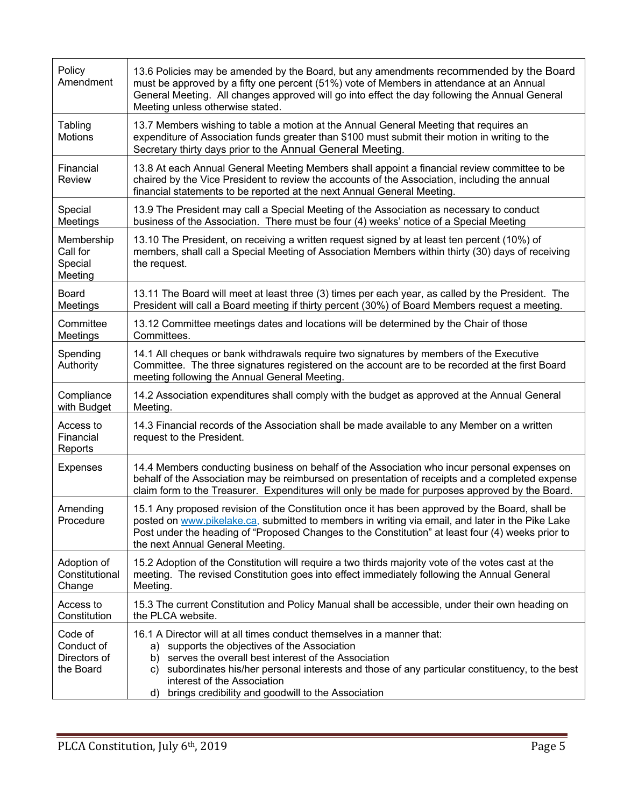| Policy<br>Amendment                                | 13.6 Policies may be amended by the Board, but any amendments recommended by the Board<br>must be approved by a fifty one percent (51%) vote of Members in attendance at an Annual<br>General Meeting. All changes approved will go into effect the day following the Annual General<br>Meeting unless otherwise stated.                                                                  |
|----------------------------------------------------|-------------------------------------------------------------------------------------------------------------------------------------------------------------------------------------------------------------------------------------------------------------------------------------------------------------------------------------------------------------------------------------------|
| Tabling<br>Motions                                 | 13.7 Members wishing to table a motion at the Annual General Meeting that requires an<br>expenditure of Association funds greater than \$100 must submit their motion in writing to the<br>Secretary thirty days prior to the Annual General Meeting.                                                                                                                                     |
| Financial<br>Review                                | 13.8 At each Annual General Meeting Members shall appoint a financial review committee to be<br>chaired by the Vice President to review the accounts of the Association, including the annual<br>financial statements to be reported at the next Annual General Meeting.                                                                                                                  |
| Special<br>Meetings                                | 13.9 The President may call a Special Meeting of the Association as necessary to conduct<br>business of the Association. There must be four (4) weeks' notice of a Special Meeting                                                                                                                                                                                                        |
| Membership<br>Call for<br>Special<br>Meeting       | 13.10 The President, on receiving a written request signed by at least ten percent (10%) of<br>members, shall call a Special Meeting of Association Members within thirty (30) days of receiving<br>the request.                                                                                                                                                                          |
| <b>Board</b><br>Meetings                           | 13.11 The Board will meet at least three (3) times per each year, as called by the President. The<br>President will call a Board meeting if thirty percent (30%) of Board Members request a meeting.                                                                                                                                                                                      |
| Committee<br>Meetings                              | 13.12 Committee meetings dates and locations will be determined by the Chair of those<br>Committees.                                                                                                                                                                                                                                                                                      |
| Spending<br>Authority                              | 14.1 All cheques or bank withdrawals require two signatures by members of the Executive<br>Committee. The three signatures registered on the account are to be recorded at the first Board<br>meeting following the Annual General Meeting.                                                                                                                                               |
| Compliance<br>with Budget                          | 14.2 Association expenditures shall comply with the budget as approved at the Annual General<br>Meeting.                                                                                                                                                                                                                                                                                  |
| Access to<br>Financial<br>Reports                  | 14.3 Financial records of the Association shall be made available to any Member on a written<br>request to the President.                                                                                                                                                                                                                                                                 |
| <b>Expenses</b>                                    | 14.4 Members conducting business on behalf of the Association who incur personal expenses on<br>behalf of the Association may be reimbursed on presentation of receipts and a completed expense<br>claim form to the Treasurer. Expenditures will only be made for purposes approved by the Board.                                                                                        |
| Amending<br>Procedure                              | 15.1 Any proposed revision of the Constitution once it has been approved by the Board, shall be<br>posted on www.pikelake.ca, submitted to members in writing via email, and later in the Pike Lake<br>Post under the heading of "Proposed Changes to the Constitution" at least four (4) weeks prior to<br>the next Annual General Meeting.                                              |
| Adoption of<br>Constitutional<br>Change            | 15.2 Adoption of the Constitution will require a two thirds majority vote of the votes cast at the<br>meeting. The revised Constitution goes into effect immediately following the Annual General<br>Meeting.                                                                                                                                                                             |
| Access to<br>Constitution                          | 15.3 The current Constitution and Policy Manual shall be accessible, under their own heading on<br>the PLCA website.                                                                                                                                                                                                                                                                      |
| Code of<br>Conduct of<br>Directors of<br>the Board | 16.1 A Director will at all times conduct themselves in a manner that:<br>supports the objectives of the Association<br>a)<br>serves the overall best interest of the Association<br>b)<br>subordinates his/her personal interests and those of any particular constituency, to the best<br>C)<br>interest of the Association<br>brings credibility and goodwill to the Association<br>d) |